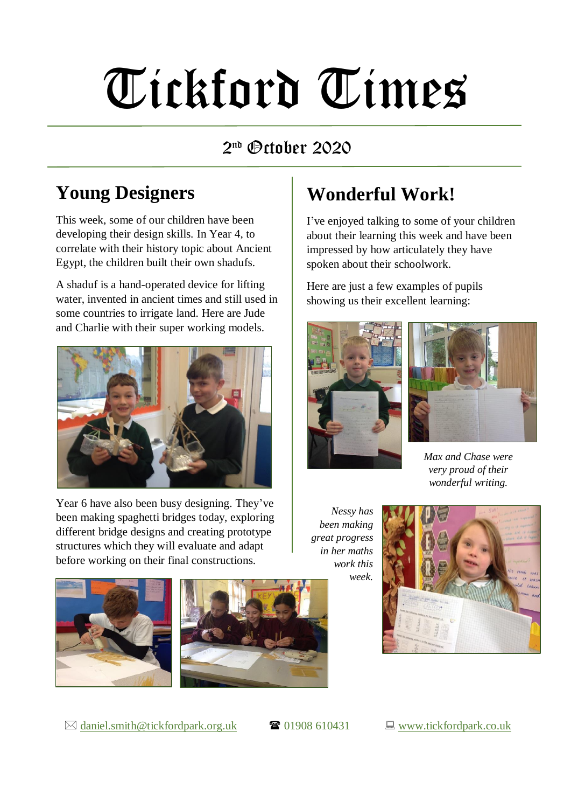# Tickford Times

#### 2 nd October 2020

#### **Young Designers**

This week, some of our children have been developing their design skills. In Year 4, to correlate with their history topic about Ancient Egypt, the children built their own shadufs.

A shaduf is a hand-operated device for lifting water, invented in ancient times and still used in some countries to irrigate land. Here are Jude and Charlie with their super working models.



Year 6 have also been busy designing. They've been making spaghetti bridges today, exploring different bridge designs and creating prototype structures which they will evaluate and adapt before working on their final constructions.

#### **Wonderful Work!**

I've enjoyed talking to some of your children about their learning this week and have been impressed by how articulately they have spoken about their schoolwork.

Here are just a few examples of pupils showing us their excellent learning:





*Max and Chase were very proud of their wonderful writing.*

*Nessy has been making great progress in her maths work this week.*





 $\boxtimes$  [daniel.smith@tickfordpark.org.uk](mailto:daniel.smith@tickfordpark.org.uk)  $\bullet$  01908 610431  $\Box$  [www.tickfordpark.co.uk](http://www.tickfordpark.co.uk/)